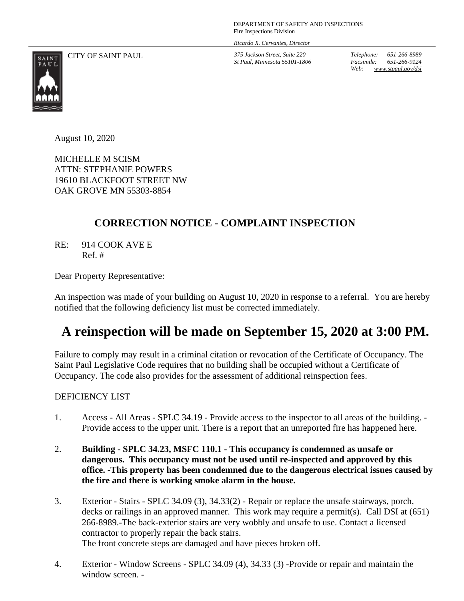DEPARTMENT OF SAFETY AND INSPECTIONS Fire Inspections Division

*Ricardo X. Cervantes, Director*

CITY OF SAINT PAUL *375 Jackson Street, Suite 220 St Paul, Minnesota 55101-1806* *Telephone: 651-266-8989 Facsimile: 651-266-9124 Web: www.stpaul.gov/dsi*



August 10, 2020

MICHELLE M SCISM ATTN: STEPHANIE POWERS 19610 BLACKFOOT STREET NW OAK GROVE MN 55303-8854

## **CORRECTION NOTICE - COMPLAINT INSPECTION**

RE: 914 COOK AVE E Ref. #

Dear Property Representative:

An inspection was made of your building on August 10, 2020 in response to a referral. You are hereby notified that the following deficiency list must be corrected immediately.

## **A reinspection will be made on September 15, 2020 at 3:00 PM.**

Failure to comply may result in a criminal citation or revocation of the Certificate of Occupancy. The Saint Paul Legislative Code requires that no building shall be occupied without a Certificate of Occupancy. The code also provides for the assessment of additional reinspection fees.

## DEFICIENCY LIST

- 1. Access All Areas SPLC 34.19 Provide access to the inspector to all areas of the building. Provide access to the upper unit. There is a report that an unreported fire has happened here.
- 2. **Building - SPLC 34.23, MSFC 110.1 - This occupancy is condemned as unsafe or dangerous. This occupancy must not be used until re-inspected and approved by this office. -This property has been condemned due to the dangerous electrical issues caused by the fire and there is working smoke alarm in the house.**
- 3. Exterior Stairs SPLC 34.09 (3), 34.33(2) Repair or replace the unsafe stairways, porch, decks or railings in an approved manner. This work may require a permit(s). Call DSI at (651) 266-8989.-The back-exterior stairs are very wobbly and unsafe to use. Contact a licensed contractor to properly repair the back stairs. The front concrete steps are damaged and have pieces broken off.
- 4. Exterior Window Screens SPLC 34.09 (4), 34.33 (3) -Provide or repair and maintain the window screen. -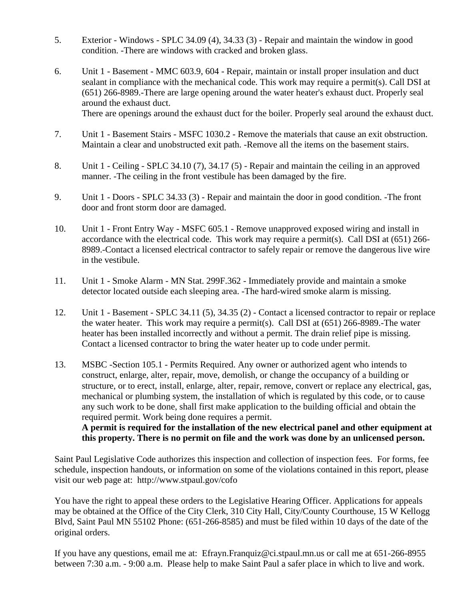- 5. Exterior Windows SPLC 34.09 (4), 34.33 (3) Repair and maintain the window in good condition. -There are windows with cracked and broken glass.
- 6. Unit 1 Basement MMC 603.9, 604 Repair, maintain or install proper insulation and duct sealant in compliance with the mechanical code. This work may require a permit(s). Call DSI at (651) 266-8989.-There are large opening around the water heater's exhaust duct. Properly seal around the exhaust duct. There are openings around the exhaust duct for the boiler. Properly seal around the exhaust duct.

7. Unit 1 - Basement Stairs - MSFC 1030.2 - Remove the materials that cause an exit obstruction.

- Maintain a clear and unobstructed exit path. -Remove all the items on the basement stairs.
- 8. Unit 1 Ceiling SPLC 34.10 (7), 34.17 (5) Repair and maintain the ceiling in an approved manner. -The ceiling in the front vestibule has been damaged by the fire.
- 9. Unit 1 Doors SPLC 34.33 (3) Repair and maintain the door in good condition. -The front door and front storm door are damaged.
- 10. Unit 1 Front Entry Way MSFC 605.1 Remove unapproved exposed wiring and install in accordance with the electrical code. This work may require a permit(s). Call DSI at (651) 266- 8989.-Contact a licensed electrical contractor to safely repair or remove the dangerous live wire in the vestibule.
- 11. Unit 1 Smoke Alarm MN Stat. 299F.362 Immediately provide and maintain a smoke detector located outside each sleeping area. -The hard-wired smoke alarm is missing.
- 12. Unit 1 Basement SPLC 34.11 (5), 34.35 (2) Contact a licensed contractor to repair or replace the water heater. This work may require a permit(s). Call DSI at  $(651)$  266-8989. The water heater has been installed incorrectly and without a permit. The drain relief pipe is missing. Contact a licensed contractor to bring the water heater up to code under permit.
- 13. MSBC -Section 105.1 Permits Required. Any owner or authorized agent who intends to construct, enlarge, alter, repair, move, demolish, or change the occupancy of a building or structure, or to erect, install, enlarge, alter, repair, remove, convert or replace any electrical, gas, mechanical or plumbing system, the installation of which is regulated by this code, or to cause any such work to be done, shall first make application to the building official and obtain the required permit. Work being done requires a permit. **A permit is required for the installation of the new electrical panel and other equipment at**

**this property. There is no permit on file and the work was done by an unlicensed person.**

Saint Paul Legislative Code authorizes this inspection and collection of inspection fees. For forms, fee schedule, inspection handouts, or information on some of the violations contained in this report, please visit our web page at: http://www.stpaul.gov/cofo

You have the right to appeal these orders to the Legislative Hearing Officer. Applications for appeals may be obtained at the Office of the City Clerk, 310 City Hall, City/County Courthouse, 15 W Kellogg Blvd, Saint Paul MN 55102 Phone: (651-266-8585) and must be filed within 10 days of the date of the original orders.

If you have any questions, email me at: Efrayn.Franquiz@ci.stpaul.mn.us or call me at 651-266-8955 between 7:30 a.m. - 9:00 a.m. Please help to make Saint Paul a safer place in which to live and work.